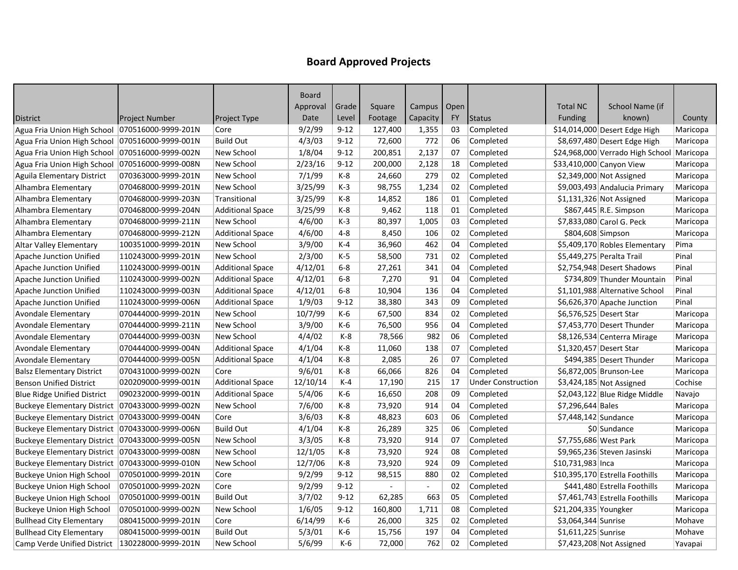|                                                   |                       |                         | Board    |          |         |                |           |                           |                         |                                  |          |
|---------------------------------------------------|-----------------------|-------------------------|----------|----------|---------|----------------|-----------|---------------------------|-------------------------|----------------------------------|----------|
|                                                   |                       |                         | Approval | Grade    | Square  | Campus   Open  |           |                           | <b>Total NC</b>         | School Name (if                  |          |
| <b>District</b>                                   | <b>Project Number</b> | <b>Project Type</b>     | Date     | Level    | Footage | Capacity       | <b>FY</b> | <b>Status</b>             | Funding                 | known)                           | County   |
| Agua Fria Union High School   070516000-9999-201N |                       | Core                    | 9/2/99   | $9 - 12$ | 127,400 | 1,355          | 03        | Completed                 |                         | \$14,014,000 Desert Edge High    | Maricopa |
| Agua Fria Union High School                       | 070516000-9999-001N   | <b>Build Out</b>        | 4/3/03   | $9 - 12$ | 72,600  | 772            | 06        | Completed                 |                         | \$8,697,480 Desert Edge High     | Maricopa |
| Agua Fria Union High School                       | 070516000-9999-002N   | New School              | 1/8/04   | $9 - 12$ | 200,851 | 2,137          | 07        | Completed                 |                         | \$24,968,000 Verrado High School | Maricopa |
| Agua Fria Union High School                       | 070516000-9999-008N   | New School              | 2/23/16  | $9 - 12$ | 200,000 | 2,128          | 18        | Completed                 |                         | \$33,410,000 Canyon View         | Maricopa |
| Aguila Elementary District                        | 070363000-9999-201N   | New School              | 7/1/99   | K-8      | 24,660  | 279            | 02        | Completed                 |                         | \$2,349,000 Not Assigned         | Maricopa |
| Alhambra Elementary                               | 070468000-9999-201N   | New School              | 3/25/99  | $K-3$    | 98,755  | 1,234          | 02        | Completed                 |                         | \$9,003,493 Andalucia Primary    | Maricopa |
| Alhambra Elementary                               | 070468000-9999-203N   | Transitional            | 3/25/99  | K-8      | 14,852  | 186            | 01        | Completed                 |                         | \$1,131,326 Not Assigned         | Maricopa |
| Alhambra Elementary                               | 070468000-9999-204N   | <b>Additional Space</b> | 3/25/99  | K-8      | 9,462   | 118            | 01        | Completed                 |                         | \$867,445 R.E. Simpson           | Maricopa |
| Alhambra Elementary                               | 070468000-9999-211N   | New School              | 4/6/00   | $K-3$    | 80,397  | 1,005          | 03        | Completed                 |                         | \$7,833,080 Carol G. Peck        | Maricopa |
| Alhambra Elementary                               | 070468000-9999-212N   | <b>Additional Space</b> | 4/6/00   | $4 - 8$  | 8,450   | 106            | 02        | Completed                 | \$804,608 Simpson       |                                  | Maricopa |
| Altar Valley Elementary                           | 100351000-9999-201N   | New School              | 3/9/00   | $K-4$    | 36,960  | 462            | 04        | Completed                 |                         | \$5,409,170 Robles Elementary    | Pima     |
| Apache Junction Unified                           | 110243000-9999-201N   | New School              | 2/3/00   | $K-5$    | 58,500  | 731            | 02        | Completed                 |                         | \$5,449,275 Peralta Trail        | Pinal    |
| <b>Apache Junction Unified</b>                    | 110243000-9999-001N   | <b>Additional Space</b> | 4/12/01  | $6-8$    | 27,261  | 341            | 04        | Completed                 |                         | \$2,754,948 Desert Shadows       | Pinal    |
| Apache Junction Unified                           | 110243000-9999-002N   | <b>Additional Space</b> | 4/12/01  | $6 - 8$  | 7,270   | 91             | 04        | Completed                 |                         | \$734,809 Thunder Mountain       | Pinal    |
| <b>Apache Junction Unified</b>                    | 110243000-9999-003N   | <b>Additional Space</b> | 4/12/01  | $6-8$    | 10,904  | 136            | 04        | Completed                 |                         | \$1,101,988 Alternative School   | Pinal    |
| Apache Junction Unified                           | 110243000-9999-006N   | <b>Additional Space</b> | 1/9/03   | $9 - 12$ | 38,380  | 343            | 09        | Completed                 |                         | \$6,626,370 Apache Junction      | Pinal    |
| Avondale Elementary                               | 070444000-9999-201N   | New School              | 10/7/99  | K-6      | 67,500  | 834            | 02        | Completed                 | \$6,576,525 Desert Star |                                  | Maricopa |
| Avondale Elementary                               | 070444000-9999-211N   | New School              | 3/9/00   | K-6      | 76,500  | 956            | 04        | Completed                 |                         | \$7,453,770 Desert Thunder       | Maricopa |
| Avondale Elementary                               | 070444000-9999-003N   | New School              | 4/4/02   | K-8      | 78,566  | 982            | 06        | Completed                 |                         | \$8,126,534 Centerra Mirage      | Maricopa |
| Avondale Elementary                               | 070444000-9999-004N   | <b>Additional Space</b> | 4/1/04   | K-8      | 11,060  | 138            | 07        | Completed                 | \$1,320,457 Desert Star |                                  | Maricopa |
| Avondale Elementary                               | 070444000-9999-005N   | <b>Additional Space</b> | 4/1/04   | K-8      | 2,085   | 26             | 07        | Completed                 |                         | \$494,385 Desert Thunder         | Maricopa |
| <b>Balsz Elementary District</b>                  | 070431000-9999-002N   | Core                    | 9/6/01   | K-8      | 66,066  | 826            | 04        | Completed                 |                         | \$6,872,005 Brunson-Lee          | Maricopa |
| <b>Benson Unified District</b>                    | 020209000-9999-001N   | <b>Additional Space</b> | 12/10/14 | $K-4$    | 17,190  | 215            | 17        | <b>Under Construction</b> |                         | $$3,424,185$ Not Assigned        | Cochise  |
| <b>Blue Ridge Unified District</b>                | 090232000-9999-001N   | <b>Additional Space</b> | 5/4/06   | K-6      | 16,650  | 208            | 09        | Completed                 |                         | \$2,043,122 Blue Ridge Middle    | Navajo   |
| Buckeye Elementary District   070433000-9999-002N |                       | New School              | 7/6/00   | $K-8$    | 73,920  | 914            | 04        | Completed                 | \$7,296,644 Bales       |                                  | Maricopa |
| Buckeye Elementary District   070433000-9999-004N |                       | Core                    | 3/6/03   | K-8      | 48,823  | 603            | 06        | Completed                 | \$7,448,142 Sundance    |                                  | Maricopa |
| Buckeye Elementary District   070433000-9999-006N |                       | <b>Build Out</b>        | 4/1/04   | $K-8$    | 26,289  | 325            | 06        | Completed                 |                         | \$0 Sundance                     | Maricopa |
| Buckeye Elementary District   070433000-9999-005N |                       | New School              | 3/3/05   | K-8      | 73,920  | 914            | 07        | Completed                 | \$7,755,686 West Park   |                                  | Maricopa |
| Buckeye Elementary District   070433000-9999-008N |                       | New School              | 12/1/05  | K-8      | 73,920  | 924            | 08        | Completed                 |                         | \$9,965,236 Steven Jasinski      | Maricopa |
| Buckeye Elementary District   070433000-9999-010N |                       | New School              | 12/7/06  | K-8      | 73,920  | 924            | 09        | Completed                 | \$10,731,983 Inca       |                                  | Maricopa |
| <b>Buckeye Union High School</b>                  | 070501000-9999-201N   | Core                    | 9/2/99   | $9 - 12$ | 98,515  | 880            | 02        | Completed                 |                         | \$10,395,170 Estrella Foothills  | Maricopa |
| <b>Buckeye Union High School</b>                  | 070501000-9999-202N   | Core                    | 9/2/99   | $9 - 12$ |         | $\blacksquare$ | 02        | Completed                 |                         | \$441,480 Estrella Foothills     | Maricopa |
| <b>Buckeye Union High School</b>                  | 070501000-9999-001N   | <b>Build Out</b>        | 3/7/02   | $9 - 12$ | 62,285  | 663            | 05        | Completed                 |                         | \$7,461,743 Estrella Foothills   | Maricopa |
| <b>Buckeye Union High School</b>                  | 070501000-9999-002N   | New School              | 1/6/05   | $9 - 12$ | 160,800 | 1,711          | 08        | Completed                 | \$21,204,335 Youngker   |                                  | Maricopa |
| <b>Bullhead City Elementary</b>                   | 080415000-9999-201N   | Core                    | 6/14/99  | K-6      | 26,000  | 325            | 02        | Completed                 | \$3,064,344 Sunrise     |                                  | Mohave   |
| <b>Bullhead City Elementary</b>                   | 080415000-9999-001N   | <b>Build Out</b>        | 5/3/01   | K-6      | 15,756  | 197            | 04        | Completed                 | \$1,611,225 Sunrise     |                                  | Mohave   |
| Camp Verde Unified District   130228000-9999-201N |                       | New School              | 5/6/99   | K-6      | 72,000  | 762            | 02        | Completed                 |                         | $$7,423,208$ Not Assigned        | Yavapai  |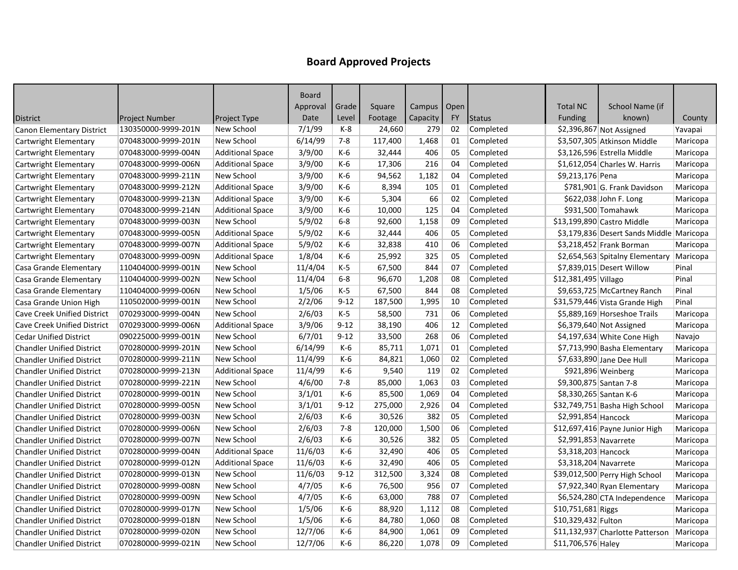|                                    |                     |                         | Board    |          |         |               |           |               |                        |                                          |          |
|------------------------------------|---------------------|-------------------------|----------|----------|---------|---------------|-----------|---------------|------------------------|------------------------------------------|----------|
|                                    |                     |                         | Approval | Grade    | Square  | Campus   Open |           |               | <b>Total NC</b>        | School Name (if                          |          |
| <b>District</b>                    | Project Number      | <b>Project Type</b>     | Date     | Level    | Footage | Capacity      | <b>FY</b> | <b>Status</b> | Funding                | known)                                   | County   |
| <b>Canon Elementary District</b>   | 130350000-9999-201N | New School              | 7/1/99   | K-8      | 24,660  | 279           | 02        | Completed     |                        | \$2,396,867 Not Assigned                 | Yavapai  |
| Cartwright Elementary              | 070483000-9999-201N | New School              | 6/14/99  | $7 - 8$  | 117,400 | 1,468         | 01        | Completed     |                        | \$3,507,305 Atkinson Middle              | Maricopa |
| Cartwright Elementary              | 070483000-9999-004N | <b>Additional Space</b> | 3/9/00   | K-6      | 32,444  | 406           | 05        | Completed     |                        | \$3,126,596 Estrella Middle              | Maricopa |
| Cartwright Elementary              | 070483000-9999-006N | <b>Additional Space</b> | 3/9/00   | K-6      | 17,306  | 216           | 04        | Completed     |                        | $$1,612,054$ Charles W. Harris           | Maricopa |
| Cartwright Elementary              | 070483000-9999-211N | New School              | 3/9/00   | K-6      | 94,562  | 1,182         | 04        | Completed     | \$9,213,176 Pena       |                                          | Maricopa |
| Cartwright Elementary              | 070483000-9999-212N | <b>Additional Space</b> | 3/9/00   | K-6      | 8,394   | 105           | 01        | Completed     |                        | \$781,901 G. Frank Davidson              | Maricopa |
| Cartwright Elementary              | 070483000-9999-213N | <b>Additional Space</b> | 3/9/00   | K-6      | 5,304   | 66            | 02        | Completed     |                        | \$622,038 John F. Long                   | Maricopa |
| Cartwright Elementary              | 070483000-9999-214N | <b>Additional Space</b> | 3/9/00   | K-6      | 10,000  | 125           | 04        | Completed     |                        | \$931,500 Tomahawk                       | Maricopa |
| Cartwright Elementary              | 070483000-9999-003N | New School              | 5/9/02   | $6-8$    | 92,600  | 1,158         | 09        | Completed     |                        | \$13,199,890 Castro Middle               | Maricopa |
| Cartwright Elementary              | 070483000-9999-005N | <b>Additional Space</b> | 5/9/02   | $K-6$    | 32,444  | 406           | 05        | Completed     |                        | \$3,179,836 Desert Sands Middle Maricopa |          |
| Cartwright Elementary              | 070483000-9999-007N | <b>Additional Space</b> | 5/9/02   | K-6      | 32,838  | 410           | 06        | Completed     |                        | \$3,218,452 Frank Borman                 | Maricopa |
| Cartwright Elementary              | 070483000-9999-009N | <b>Additional Space</b> | 1/8/04   | K-6      | 25,992  | 325           | 05        | Completed     |                        | \$2,654,563 Spitalny Elementary          | Maricopa |
| Casa Grande Elementary             | 110404000-9999-001N | New School              | 11/4/04  | $K-5$    | 67,500  | 844           | 07        | Completed     |                        | \$7,839,015 Desert Willow                | Pinal    |
| Casa Grande Elementary             | 110404000-9999-002N | New School              | 11/4/04  | $6 - 8$  | 96,670  | 1,208         | 08        | Completed     | \$12,381,495 Villago   |                                          | Pinal    |
| Casa Grande Elementary             | 110404000-9999-006N | New School              | 1/5/06   | $K-5$    | 67,500  | 844           | 08        | Completed     |                        | \$9,653,725 McCartney Ranch              | Pinal    |
| Casa Grande Union High             | 110502000-9999-001N | New School              | 2/2/06   | $9 - 12$ | 187,500 | 1,995         | 10        | Completed     |                        | \$31,579,446 Vista Grande High           | Pinal    |
| <b>Cave Creek Unified District</b> | 070293000-9999-004N | New School              | 2/6/03   | $K-5$    | 58,500  | 731           | 06        | Completed     |                        | \$5,889,169 Horseshoe Trails             | Maricopa |
| <b>Cave Creek Unified District</b> | 070293000-9999-006N | <b>Additional Space</b> | 3/9/06   | $9 - 12$ | 38,190  | 406           | 12        | Completed     |                        | \$6,379,640 Not Assigned                 | Maricopa |
| <b>Cedar Unified District</b>      | 090225000-9999-001N | New School              | 6/7/01   | $9 - 12$ | 33,500  | 268           | 06        | Completed     |                        | \$4,197,634 White Cone High              | Navajo   |
| <b>Chandler Unified District</b>   | 070280000-9999-201N | New School              | 6/14/99  | K-6      | 85,711  | 1,071         | 01        | Completed     |                        | \$7,713,990 Basha Elementary             | Maricopa |
| <b>Chandler Unified District</b>   | 070280000-9999-211N | New School              | 11/4/99  | K-6      | 84,821  | 1,060         | 02        | Completed     |                        | \$7,633,890 Jane Dee Hull                | Maricopa |
| <b>Chandler Unified District</b>   | 070280000-9999-213N | <b>Additional Space</b> | 11/4/99  | K-6      | 9,540   | 119           | 02        | Completed     |                        | \$921,896 Weinberg                       | Maricopa |
| <b>Chandler Unified District</b>   | 070280000-9999-221N | New School              | 4/6/00   | $7 - 8$  | 85,000  | 1,063         | 03        | Completed     | \$9,300,875 Santan 7-8 |                                          | Maricopa |
| <b>Chandler Unified District</b>   | 070280000-9999-001N | New School              | 3/1/01   | K-6      | 85,500  | 1,069         | 04        | Completed     | \$8,330,265 Santan K-6 |                                          | Maricopa |
| <b>Chandler Unified District</b>   | 070280000-9999-005N | New School              | 3/1/01   | $9 - 12$ | 275,000 | 2,926         | 04        | Completed     |                        | \$32,749,751 Basha High School           | Maricopa |
| <b>Chandler Unified District</b>   | 070280000-9999-003N | New School              | 2/6/03   | K-6      | 30,526  | 382           | 05        | Completed     | \$2,991,854 Hancock    |                                          | Maricopa |
| <b>Chandler Unified District</b>   | 070280000-9999-006N | New School              | 2/6/03   | $7 - 8$  | 120,000 | 1,500         | 06        | Completed     |                        | \$12,697,416 Payne Junior High           | Maricopa |
| <b>Chandler Unified District</b>   | 070280000-9999-007N | New School              | 2/6/03   | K-6      | 30,526  | 382           | 05        | Completed     | \$2,991,853 Navarrete  |                                          | Maricopa |
| <b>Chandler Unified District</b>   | 070280000-9999-004N | <b>Additional Space</b> | 11/6/03  | K-6      | 32,490  | 406           | 05        | Completed     | \$3,318,203 Hancock    |                                          | Maricopa |
| <b>Chandler Unified District</b>   | 070280000-9999-012N | <b>Additional Space</b> | 11/6/03  | K-6      | 32,490  | 406           | 05        | Completed     | \$3,318,204 Navarrete  |                                          | Maricopa |
| <b>Chandler Unified District</b>   | 070280000-9999-013N | New School              | 11/6/03  | $9 - 12$ | 312,500 | 3,324         | 08        | Completed     |                        | \$39,012,500 Perry High School           | Maricopa |
| <b>Chandler Unified District</b>   | 070280000-9999-008N | New School              | 4/7/05   | K-6      | 76,500  | 956           | 07        | Completed     |                        | $$7,922,340$ Ryan Elementary             | Maricopa |
| <b>Chandler Unified District</b>   | 070280000-9999-009N | New School              | 4/7/05   | K-6      | 63,000  | 788           | 07        | Completed     |                        | \$6,524,280 CTA Independence             | Maricopa |
| <b>Chandler Unified District</b>   | 070280000-9999-017N | New School              | 1/5/06   | K-6      | 88,920  | 1,112         | 08        | Completed     | $$10,751,681$ Riggs    |                                          | Maricopa |
| <b>Chandler Unified District</b>   | 070280000-9999-018N | New School              | 1/5/06   | K-6      | 84,780  | 1,060         | 08        | Completed     | \$10,329,432 Fulton    |                                          | Maricopa |
| <b>Chandler Unified District</b>   | 070280000-9999-020N | New School              | 12/7/06  | K-6      | 84,900  | 1,061         | 09        | Completed     |                        | \$11,132,937 Charlotte Patterson         | Maricopa |
| <b>Chandler Unified District</b>   | 070280000-9999-021N | New School              | 12/7/06  | K-6      | 86,220  | 1,078         | 09        | Completed     | \$11,706,576 Haley     |                                          | Maricopa |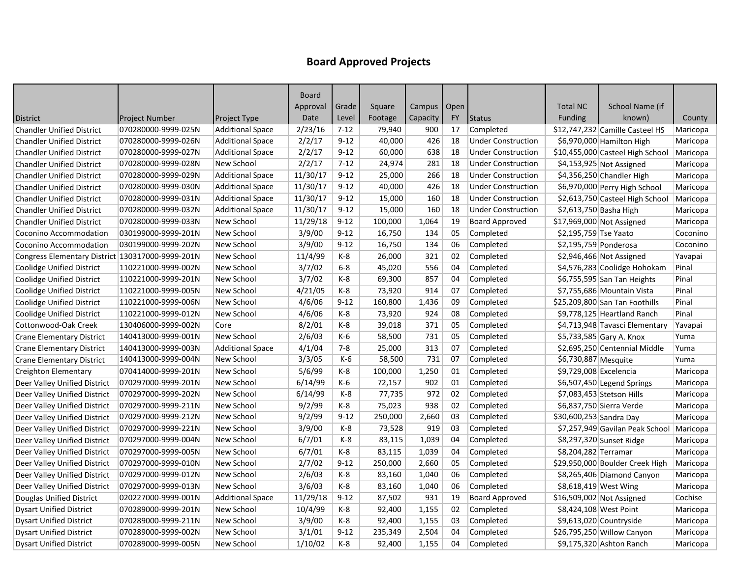|                                                  |                     |                         | Board    |          |         |               |           |                           |                         |                                  |          |
|--------------------------------------------------|---------------------|-------------------------|----------|----------|---------|---------------|-----------|---------------------------|-------------------------|----------------------------------|----------|
|                                                  |                     |                         | Approval | Grade    | Square  | Campus   Open |           |                           | <b>Total NC</b>         | School Name (if                  |          |
| <b>District</b>                                  | Project Number      | Project Type            | Date     | Level    | Footage | Capacity      | <b>FY</b> | <b>Status</b>             | Funding                 | known)                           | County   |
| <b>Chandler Unified District</b>                 | 070280000-9999-025N | <b>Additional Space</b> | 2/23/16  | $7 - 12$ | 79,940  | 900           | 17        | Completed                 |                         | \$12,747,232 Camille Casteel HS  | Maricopa |
| <b>Chandler Unified District</b>                 | 070280000-9999-026N | <b>Additional Space</b> | 2/2/17   | $9 - 12$ | 40,000  | 426           | 18        | <b>Under Construction</b> |                         | \$6,970,000 Hamilton High        | Maricopa |
| <b>Chandler Unified District</b>                 | 070280000-9999-027N | <b>Additional Space</b> | 2/2/17   | $9 - 12$ | 60,000  | 638           | 18        | <b>Under Construction</b> |                         | \$10,455,000 Casteel High School | Maricopa |
| <b>Chandler Unified District</b>                 | 070280000-9999-028N | New School              | 2/2/17   | $7 - 12$ | 24,974  | 281           | 18        | <b>Under Construction</b> |                         | $$4,153,925$ Not Assigned        | Maricopa |
| <b>Chandler Unified District</b>                 | 070280000-9999-029N | <b>Additional Space</b> | 11/30/17 | $9 - 12$ | 25,000  | 266           | 18        | <b>Under Construction</b> |                         | \$4,356,250 Chandler High        | Maricopa |
| <b>Chandler Unified District</b>                 | 070280000-9999-030N | <b>Additional Space</b> | 11/30/17 | $9 - 12$ | 40,000  | 426           | 18        | <b>Under Construction</b> |                         | \$6,970,000 Perry High School    | Maricopa |
| <b>Chandler Unified District</b>                 | 070280000-9999-031N | <b>Additional Space</b> | 11/30/17 | $9 - 12$ | 15,000  | 160           | 18        | <b>Under Construction</b> |                         | \$2,613,750 Casteel High School  | Maricopa |
| <b>Chandler Unified District</b>                 | 070280000-9999-032N | <b>Additional Space</b> | 11/30/17 | $9 - 12$ | 15,000  | 160           | 18        | <b>Under Construction</b> | \$2,613,750 Basha High  |                                  | Maricopa |
| <b>Chandler Unified District</b>                 | 070280000-9999-033N | New School              | 11/29/18 | $9 - 12$ | 100,000 | 1,064         | 19        | <b>Board Approved</b>     |                         | \$17,969,000 Not Assigned        | Maricopa |
| Coconino Accommodation                           | 030199000-9999-201N | New School              | 3/9/00   | $9 - 12$ | 16,750  | 134           | 05        | Completed                 | \$2,195,759 Tse Yaato   |                                  | Coconino |
| Coconino Accommodation                           | 030199000-9999-202N | New School              | 3/9/00   | $9 - 12$ | 16,750  | 134           | 06        | Completed                 | \$2,195,759 Ponderosa   |                                  | Coconino |
| Congress Elementary District 130317000-9999-201N |                     | New School              | 11/4/99  | K-8      | 26,000  | 321           | 02        | Completed                 |                         | \$2,946,466 Not Assigned         | Yavapai  |
| <b>Coolidge Unified District</b>                 | 110221000-9999-002N | New School              | 3/7/02   | $6-8$    | 45,020  | 556           | 04        | Completed                 |                         | \$4,576,283 Coolidge Hohokam     | Pinal    |
| <b>Coolidge Unified District</b>                 | 110221000-9999-201N | New School              | 3/7/02   | K-8      | 69,300  | 857           | 04        | Completed                 |                         | \$6,755,595 San Tan Heights      | Pinal    |
| <b>Coolidge Unified District</b>                 | 110221000-9999-005N | New School              | 4/21/05  | K-8      | 73,920  | 914           | 07        | Completed                 |                         | \$7,755,686 Mountain Vista       | Pinal    |
| <b>Coolidge Unified District</b>                 | 110221000-9999-006N | New School              | 4/6/06   | $9 - 12$ | 160,800 | 1,436         | 09        | Completed                 |                         | \$25,209,800 San Tan Foothills   | Pinal    |
| <b>Coolidge Unified District</b>                 | 110221000-9999-012N | New School              | 4/6/06   | $K-8$    | 73,920  | 924           | 08        | Completed                 |                         | \$9,778,125 Heartland Ranch      | Pinal    |
| Cottonwood-Oak Creek                             | 130406000-9999-002N | Core                    | 8/2/01   | K-8      | 39,018  | 371           | 05        | Completed                 |                         | \$4,713,948 Tavasci Elementary   | Yavapai  |
| <b>Crane Elementary District</b>                 | 140413000-9999-001N | New School              | 2/6/03   | $K-6$    | 58,500  | 731           | 05        | Completed                 |                         | \$5,733,585 Gary A. Knox         | Yuma     |
| <b>Crane Elementary District</b>                 | 140413000-9999-003N | <b>Additional Space</b> | 4/1/04   | $7 - 8$  | 25,000  | 313           | 07        | Completed                 |                         | \$2,695,250 Centennial Middle    | Yuma     |
| <b>Crane Elementary District</b>                 | 140413000-9999-004N | New School              | 3/3/05   | K-6      | 58,500  | 731           | 07        | Completed                 | \$6,730,887 Mesquite    |                                  | Yuma     |
| Creighton Elementary                             | 070414000-9999-201N | New School              | 5/6/99   | K-8      | 100,000 | 1,250         | 01        | Completed                 | \$9,729,008 Excelencia  |                                  | Maricopa |
| Deer Valley Unified District                     | 070297000-9999-201N | New School              | 6/14/99  | K-6      | 72,157  | 902           | 01        | Completed                 |                         | \$6,507,450 Legend Springs       | Maricopa |
| Deer Valley Unified District                     | 070297000-9999-202N | New School              | 6/14/99  | K-8      | 77,735  | 972           | 02        | Completed                 |                         | \$7,083,453 Stetson Hills        | Maricopa |
| Deer Valley Unified District                     | 070297000-9999-211N | New School              | 9/2/99   | $K-8$    | 75,023  | 938           | 02        | Completed                 |                         | \$6,837,750 Sierra Verde         | Maricopa |
| Deer Valley Unified District                     | 070297000-9999-212N | New School              | 9/2/99   | $9 - 12$ | 250,000 | 2,660         | 03        | Completed                 | \$30,600,253 Sandra Day |                                  | Maricopa |
| Deer Valley Unified District                     | 070297000-9999-221N | New School              | 3/9/00   | K-8      | 73,528  | 919           | 03        | Completed                 |                         | \$7,257,949 Gavilan Peak School  | Maricopa |
| Deer Valley Unified District                     | 070297000-9999-004N | New School              | 6/7/01   | K-8      | 83,115  | 1,039         | 04        | Completed                 |                         | \$8,297,320 Sunset Ridge         | Maricopa |
| Deer Valley Unified District                     | 070297000-9999-005N | New School              | 6/7/01   | $K-8$    | 83,115  | 1,039         | 04        | Completed                 | \$8,204,282 Terramar    |                                  | Maricopa |
| Deer Valley Unified District                     | 070297000-9999-010N | New School              | 2/7/02   | $9 - 12$ | 250,000 | 2,660         | 05        | Completed                 |                         | \$29,950,000 Boulder Creek High  | Maricopa |
| Deer Valley Unified District                     | 070297000-9999-012N | New School              | 2/6/03   | $K-8$    | 83,160  | 1,040         | 06        | Completed                 |                         | \$8,265,406 Diamond Canyon       | Maricopa |
| Deer Valley Unified District                     | 070297000-9999-013N | New School              | 3/6/03   | K-8      | 83,160  | 1,040         | 06        | Completed                 |                         | \$8,618,419 West Wing            | Maricopa |
| Douglas Unified District                         | 020227000-9999-001N | <b>Additional Space</b> | 11/29/18 | $9 - 12$ | 87,502  | 931           | 19        | <b>Board Approved</b>     |                         | $$16,509,002$ Not Assigned       | Cochise  |
| <b>Dysart Unified District</b>                   | 070289000-9999-201N | New School              | 10/4/99  | K-8      | 92,400  | 1,155         | 02        | Completed                 |                         | \$8,424,108 West Point           | Maricopa |
| <b>Dysart Unified District</b>                   | 070289000-9999-211N | New School              | 3/9/00   | K-8      | 92,400  | 1,155         | 03        | Completed                 |                         | \$9,613,020 Countryside          | Maricopa |
| <b>Dysart Unified District</b>                   | 070289000-9999-002N | New School              | 3/1/01   | $9 - 12$ | 235,349 | 2,504         | 04        | Completed                 |                         | \$26,795,250 Willow Canyon       | Maricopa |
| <b>Dysart Unified District</b>                   | 070289000-9999-005N | New School              | 1/10/02  | K-8      | 92,400  | 1,155         | 04        | Completed                 |                         | \$9,175,320 Ashton Ranch         | Maricopa |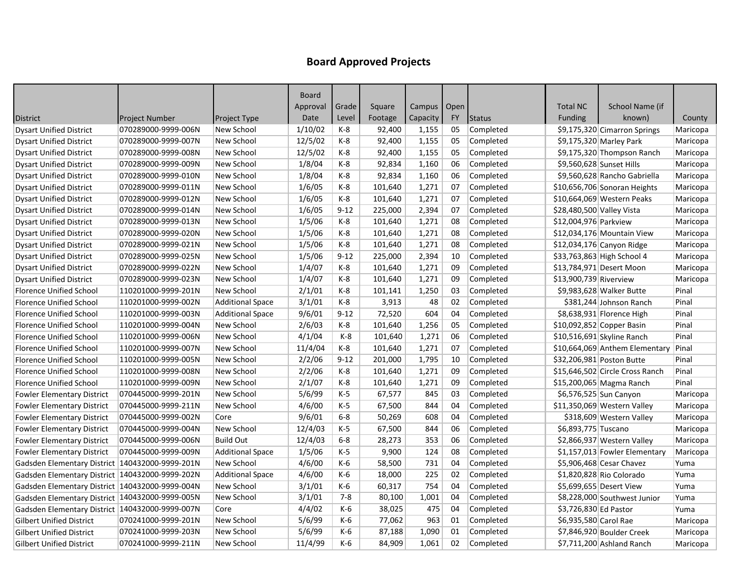|                                                   |                       |                         | Board    |          |         |               |           |               |                           |                                 |          |
|---------------------------------------------------|-----------------------|-------------------------|----------|----------|---------|---------------|-----------|---------------|---------------------------|---------------------------------|----------|
|                                                   |                       |                         | Approval | Grade    | Square  | Campus   Open |           |               | <b>Total NC</b>           | School Name (if                 |          |
| <b>District</b>                                   | <b>Project Number</b> | Project Type            | Date     | Level    | Footage | Capacity      | <b>FY</b> | <b>Status</b> | Funding                   | known)                          | County   |
| <b>Dysart Unified District</b>                    | 070289000-9999-006N   | New School              | 1/10/02  | K-8      | 92,400  | 1,155         | 05        | Completed     |                           | \$9,175,320 Cimarron Springs    | Maricopa |
| <b>Dysart Unified District</b>                    | 070289000-9999-007N   | New School              | 12/5/02  | $K-8$    | 92,400  | 1,155         | 05        | Completed     |                           | \$9,175,320 Marley Park         | Maricopa |
| <b>Dysart Unified District</b>                    | 070289000-9999-008N   | New School              | 12/5/02  | K-8      | 92,400  | 1,155         | 05        | Completed     |                           | \$9,175,320 Thompson Ranch      | Maricopa |
| <b>Dysart Unified District</b>                    | 070289000-9999-009N   | New School              | 1/8/04   | K-8      | 92,834  | 1,160         | 06        | Completed     |                           | \$9,560,628 Sunset Hills        | Maricopa |
| <b>Dysart Unified District</b>                    | 070289000-9999-010N   | New School              | 1/8/04   | K-8      | 92,834  | 1,160         | 06        | Completed     |                           | \$9,560,628 Rancho Gabriella    | Maricopa |
| <b>Dysart Unified District</b>                    | 070289000-9999-011N   | New School              | 1/6/05   | $K-8$    | 101,640 | 1,271         | 07        | Completed     |                           | \$10,656,706 Sonoran Heights    | Maricopa |
| <b>Dysart Unified District</b>                    | 070289000-9999-012N   | New School              | 1/6/05   | K-8      | 101,640 | 1,271         | 07        | Completed     |                           | \$10,664,069 Western Peaks      | Maricopa |
| <b>Dysart Unified District</b>                    | 070289000-9999-014N   | New School              | 1/6/05   | $9 - 12$ | 225,000 | 2,394         | 07        | Completed     | \$28,480,500 Valley Vista |                                 | Maricopa |
| <b>Dysart Unified District</b>                    | 070289000-9999-013N   | New School              | 1/5/06   | K-8      | 101,640 | 1,271         | 08        | Completed     | \$12,004,976 Parkview     |                                 | Maricopa |
| <b>Dysart Unified District</b>                    | 070289000-9999-020N   | New School              | 1/5/06   | K-8      | 101,640 | 1,271         | 08        | Completed     |                           | \$12,034,176 Mountain View      | Maricopa |
| <b>Dysart Unified District</b>                    | 070289000-9999-021N   | New School              | 1/5/06   | K-8      | 101,640 | 1,271         | 08        | Completed     |                           | \$12,034,176 Canyon Ridge       | Maricopa |
| <b>Dysart Unified District</b>                    | 070289000-9999-025N   | New School              | 1/5/06   | $9 - 12$ | 225,000 | 2,394         | 10        | Completed     |                           | \$33,763,863 High School 4      | Maricopa |
| <b>Dysart Unified District</b>                    | 070289000-9999-022N   | New School              | 1/4/07   | K-8      | 101,640 | 1,271         | 09        | Completed     |                           | \$13,784,971 Desert Moon        | Maricopa |
| <b>Dysart Unified District</b>                    | 070289000-9999-023N   | New School              | 1/4/07   | K-8      | 101,640 | 1,271         | 09        | Completed     | \$13,900,739 Riverview    |                                 | Maricopa |
| <b>Florence Unified School</b>                    | 110201000-9999-201N   | New School              | 2/1/01   | K-8      | 101,141 | 1,250         | 03        | Completed     |                           | \$9,983,628 Walker Butte        | Pinal    |
| <b>Florence Unified School</b>                    | 110201000-9999-002N   | <b>Additional Space</b> | 3/1/01   | K-8      | 3,913   | 48            | 02        | Completed     |                           | \$381,244 Johnson Ranch         | Pinal    |
| <b>Florence Unified School</b>                    | 110201000-9999-003N   | <b>Additional Space</b> | 9/6/01   | $9 - 12$ | 72,520  | 604           | 04        | Completed     |                           | \$8,638,931 Florence High       | Pinal    |
| <b>Florence Unified School</b>                    | 110201000-9999-004N   | New School              | 2/6/03   | K-8      | 101,640 | 1,256         | 05        | Completed     |                           | \$10,092,852 Copper Basin       | Pinal    |
| <b>Florence Unified School</b>                    | 110201000-9999-006N   | New School              | 4/1/04   | K-8      | 101,640 | 1,271         | 06        | Completed     |                           | $$10,516,691]$ Skyline Ranch    | Pinal    |
| <b>Florence Unified School</b>                    | 110201000-9999-007N   | New School              | 11/4/04  | K-8      | 101,640 | 1,271         | 07        | Completed     |                           | \$10,664,069 Anthem Elementary  | Pinal    |
| <b>Florence Unified School</b>                    | 110201000-9999-005N   | New School              | 2/2/06   | $9 - 12$ | 201,000 | 1,795         | 10        | Completed     |                           | \$32,206,981 Poston Butte       | Pinal    |
| <b>Florence Unified School</b>                    | 110201000-9999-008N   | New School              | 2/2/06   | K-8      | 101,640 | 1,271         | 09        | Completed     |                           | \$15,646,502 Circle Cross Ranch | Pinal    |
| <b>Florence Unified School</b>                    | 110201000-9999-009N   | New School              | 2/1/07   | $K-8$    | 101,640 | 1,271         | 09        | Completed     |                           | \$15,200,065 Magma Ranch        | Pinal    |
| <b>Fowler Elementary District</b>                 | 070445000-9999-201N   | New School              | 5/6/99   | $K-5$    | 67,577  | 845           | 03        | Completed     |                           | \$6,576,525 Sun Canyon          | Maricopa |
| <b>Fowler Elementary District</b>                 | 070445000-9999-211N   | New School              | 4/6/00   | $K-5$    | 67,500  | 844           | 04        | Completed     |                           | \$11,350,069 Western Valley     | Maricopa |
| <b>Fowler Elementary District</b>                 | 070445000-9999-002N   | Core                    | 9/6/01   | $6-8$    | 50,269  | 608           | 04        | Completed     |                           | \$318,609 Western Valley        | Maricopa |
| <b>Fowler Elementary District</b>                 | 070445000-9999-004N   | New School              | 12/4/03  | $K-5$    | 67,500  | 844           | 06        | Completed     | \$6,893,775 Tuscano       |                                 | Maricopa |
| <b>Fowler Elementary District</b>                 | 070445000-9999-006N   | <b>Build Out</b>        | 12/4/03  | $6 - 8$  | 28,273  | 353           | 06        | Completed     |                           | \$2,866,937 Western Valley      | Maricopa |
| <b>Fowler Elementary District</b>                 | 070445000-9999-009N   | <b>Additional Space</b> | 1/5/06   | $K-5$    | 9,900   | 124           | 08        | Completed     |                           | \$1,157,013 Fowler Elementary   | Maricopa |
| Gadsden Elementary District   140432000-9999-201N |                       | New School              | 4/6/00   | K-6      | 58,500  | 731           | 04        | Completed     |                           | \$5,906,468 Cesar Chavez        | Yuma     |
| Gadsden Elementary District   140432000-9999-202N |                       | <b>Additional Space</b> | 4/6/00   | $K-6$    | 18,000  | 225           | 02        | Completed     |                           | \$1,820,828 Rio Colorado        | Yuma     |
| Gadsden Elementary District 140432000-9999-004N   |                       | New School              | 3/1/01   | K-6      | 60,317  | 754           | 04        | Completed     |                           | \$5,699,655 Desert View         | Yuma     |
| Gadsden Elementary District 140432000-9999-005N   |                       | New School              | 3/1/01   | 7-8      | 80,100  | 1,001         | 04        | Completed     |                           | \$8,228,000 Southwest Junior    | Yuma     |
| Gadsden Elementary District   140432000-9999-007N |                       | Core                    | 4/4/02   | K-6      | 38,025  | 475           | 04        | Completed     | \$3,726,830 Ed Pastor     |                                 | Yuma     |
| <b>Gilbert Unified District</b>                   | 070241000-9999-201N   | New School              | 5/6/99   | K-6      | 77,062  | 963           | 01        | Completed     | \$6,935,580 Carol Rae     |                                 | Maricopa |
| <b>Gilbert Unified District</b>                   | 070241000-9999-203N   | New School              | 5/6/99   | K-6      | 87,188  | 1,090         | 01        | Completed     |                           | \$7,846,920 Boulder Creek       | Maricopa |
| <b>Gilbert Unified District</b>                   | 070241000-9999-211N   | New School              | 11/4/99  | K-6      | 84,909  | 1,061         | 02        | Completed     |                           | $$7,711,200$ Ashland Ranch      | Maricopa |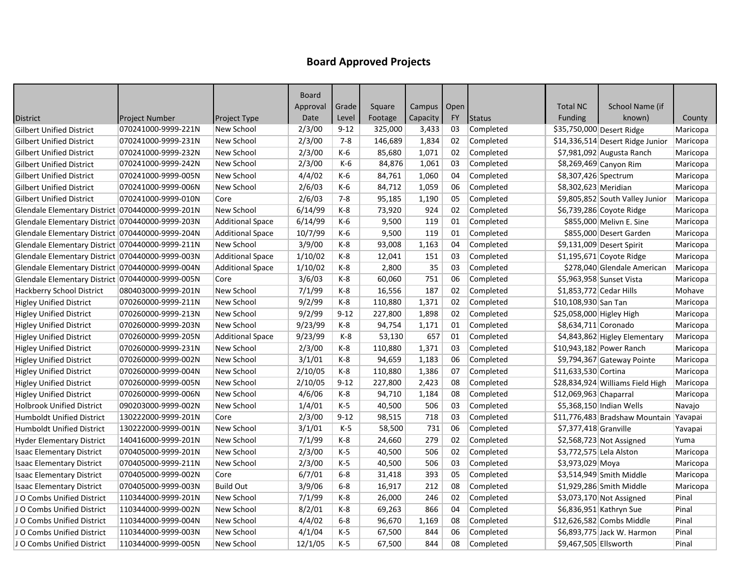|                                                  |                       |                         | <b>Board</b> |          |         |               |           |               |                          |                                        |          |
|--------------------------------------------------|-----------------------|-------------------------|--------------|----------|---------|---------------|-----------|---------------|--------------------------|----------------------------------------|----------|
|                                                  |                       |                         | Approval     | Grade    | Square  | Campus   Open |           |               | <b>Total NC</b>          | School Name (if                        |          |
| District                                         | <b>Project Number</b> | <b>Project Type</b>     | Date         | Level    | Footage | Capacity      | <b>FY</b> | <b>Status</b> | Funding                  | known)                                 | County   |
| <b>Gilbert Unified District</b>                  | 070241000-9999-221N   | New School              | 2/3/00       | $9 - 12$ | 325,000 | 3,433         | 03        | Completed     |                          | \$35,750,000 Desert Ridge              | Maricopa |
| <b>Gilbert Unified District</b>                  | 070241000-9999-231N   | New School              | 2/3/00       | $7 - 8$  | 146,689 | 1,834         | 02        | Completed     |                          | \$14,336,514 Desert Ridge Junior       | Maricopa |
| <b>Gilbert Unified District</b>                  | 070241000-9999-232N   | New School              | 2/3/00       | K-6      | 85,680  | 1,071         | 02        | Completed     |                          | \$7,981,092 Augusta Ranch              | Maricopa |
| <b>Gilbert Unified District</b>                  | 070241000-9999-242N   | New School              | 2/3/00       | K-6      | 84,876  | 1,061         | 03        | Completed     |                          | \$8,269,469 Canyon Rim                 | Maricopa |
| <b>Gilbert Unified District</b>                  | 070241000-9999-005N   | New School              | 4/4/02       | K-6      | 84,761  | 1,060         | 04        | Completed     | \$8,307,426 Spectrum     |                                        | Maricopa |
| <b>Gilbert Unified District</b>                  | 070241000-9999-006N   | New School              | 2/6/03       | K-6      | 84,712  | 1,059         | 06        | Completed     | \$8,302,623 Meridian     |                                        | Maricopa |
| <b>Gilbert Unified District</b>                  | 070241000-9999-010N   | Core                    | 2/6/03       | $7 - 8$  | 95,185  | 1,190         | 05        | Completed     |                          | \$9,805,852 South Valley Junior        | Maricopa |
| Glendale Elementary District 070440000-9999-201N |                       | New School              | 6/14/99      | K-8      | 73,920  | 924           | 02        | Completed     |                          | \$6,739,286 Coyote Ridge               | Maricopa |
| Glendale Elementary District 070440000-9999-203N |                       | <b>Additional Space</b> | 6/14/99      | K-6      | 9,500   | 119           | 01        | Completed     |                          | \$855,000 Melivn E. Sine               | Maricopa |
| Glendale Elementary District 070440000-9999-204N |                       | <b>Additional Space</b> | 10/7/99      | $K-6$    | 9,500   | 119           | 01        | Completed     |                          | \$855,000 Desert Garden                | Maricopa |
| Glendale Elementary District 070440000-9999-211N |                       | New School              | 3/9/00       | K-8      | 93,008  | 1,163         | 04        | Completed     |                          | \$9,131,009 Desert Spirit              | Maricopa |
| Glendale Elementary District 070440000-9999-003N |                       | <b>Additional Space</b> | 1/10/02      | K-8      | 12,041  | 151           | 03        | Completed     |                          | $$1,195,671$ Coyote Ridge              | Maricopa |
| Glendale Elementary District 070440000-9999-004N |                       | <b>Additional Space</b> | 1/10/02      | K-8      | 2,800   | 35            | 03        | Completed     |                          | \$278,040 Glendale American            | Maricopa |
| Glendale Elementary District 070440000-9999-005N |                       | Core                    | 3/6/03       | $K-8$    | 60,060  | 751           | 06        | Completed     |                          | \$5,963,958 Sunset Vista               | Maricopa |
| Hackberry School District                        | 080403000-9999-201N   | New School              | 7/1/99       | K-8      | 16,556  | 187           | 02        | Completed     | \$1,853,772 Cedar Hills  |                                        | Mohave   |
| <b>Higley Unified District</b>                   | 070260000-9999-211N   | New School              | 9/2/99       | K-8      | 110,880 | 1,371         | 02        | Completed     | \$10,108,930 San Tan     |                                        | Maricopa |
| <b>Higley Unified District</b>                   | 070260000-9999-213N   | New School              | 9/2/99       | $9 - 12$ | 227,800 | 1,898         | 02        | Completed     | \$25,058,000 Higley High |                                        | Maricopa |
| <b>Higley Unified District</b>                   | 070260000-9999-203N   | New School              | 9/23/99      | $K-8$    | 94,754  | 1,171         | 01        | Completed     | \$8,634,711 Coronado     |                                        | Maricopa |
| <b>Higley Unified District</b>                   | 070260000-9999-205N   | <b>Additional Space</b> | 9/23/99      | K-8      | 53,130  | 657           | 01        | Completed     |                          | \$4,843,862 Higley Elementary          | Maricopa |
| <b>Higley Unified District</b>                   | 070260000-9999-231N   | New School              | 2/3/00       | K-8      | 110,880 | 1,371         | 03        | Completed     |                          | \$10,943,182 Power Ranch               | Maricopa |
| <b>Higley Unified District</b>                   | 070260000-9999-002N   | New School              | 3/1/01       | K-8      | 94,659  | 1,183         | 06        | Completed     |                          | \$9,794,367 Gateway Pointe             | Maricopa |
| <b>Higley Unified District</b>                   | 070260000-9999-004N   | New School              | 2/10/05      | $K-8$    | 110,880 | 1,386         | 07        | Completed     | \$11,633,530 Cortina     |                                        | Maricopa |
| <b>Higley Unified District</b>                   | 070260000-9999-005N   | New School              | 2/10/05      | $9 - 12$ | 227,800 | 2,423         | 08        | Completed     |                          | \$28,834,924 Williams Field High       | Maricopa |
| <b>Higley Unified District</b>                   | 070260000-9999-006N   | New School              | 4/6/06       | $K-8$    | 94,710  | 1,184         | 08        | Completed     | \$12,069,963 Chaparral   |                                        | Maricopa |
| <b>Holbrook Unified District</b>                 | 090203000-9999-002N   | New School              | 1/4/01       | $K-5$    | 40,500  | 506           | 03        | Completed     |                          | \$5,368,150 Indian Wells               | Navajo   |
| <b>Humboldt Unified District</b>                 | 130222000-9999-201N   | Core                    | 2/3/00       | $9 - 12$ | 98,515  | 718           | 03        | Completed     |                          | \$11,776,483 Bradshaw Mountain Yavapai |          |
| <b>Humboldt Unified District</b>                 | 130222000-9999-001N   | New School              | 3/1/01       | $K-5$    | 58,500  | 731           | 06        | Completed     | $$7,377,418$ Granville   |                                        | Yavapai  |
| <b>Hyder Elementary District</b>                 | 140416000-9999-201N   | New School              | 7/1/99       | K-8      | 24,660  | 279           | 02        | Completed     |                          | \$2,568,723 Not Assigned               | Yuma     |
| <b>Isaac Elementary District</b>                 | 070405000-9999-201N   | New School              | 2/3/00       | $K-5$    | 40,500  | 506           | 02        | Completed     |                          | \$3,772,575 Lela Alston                | Maricopa |
| <b>Isaac Elementary District</b>                 | 070405000-9999-211N   | New School              | 2/3/00       | K-5      | 40,500  | 506           | 03        | Completed     | \$3,973,029 Moya         |                                        | Maricopa |
| Isaac Elementary District                        | 070405000-9999-002N   | Core                    | 6/7/01       | $6 - 8$  | 31,418  | 393           | 05        | Completed     |                          | \$3,514,949 Smith Middle               | Maricopa |
| <b>Isaac Elementary District</b>                 | 070405000-9999-003N   | <b>Build Out</b>        | 3/9/06       | $6 - 8$  | 16,917  | 212           | 08        | Completed     |                          | \$1,929,286 Smith Middle               | Maricopa |
| JO Combs Unified District                        | 110344000-9999-201N   | New School              | 7/1/99       | K-8      | 26,000  | 246           | 02        | Completed     |                          | \$3,073,170 Not Assigned               | Pinal    |
| JO Combs Unified District                        | 110344000-9999-002N   | New School              | 8/2/01       | K-8      | 69,263  | 866           | 04        | Completed     |                          | \$6,836,951 Kathryn Sue                | Pinal    |
| JO Combs Unified District                        | 110344000-9999-004N   | New School              | 4/4/02       | $6-8$    | 96,670  | 1,169         | 08        | Completed     |                          | \$12,626,582 Combs Middle              | Pinal    |
| JO Combs Unified District                        | 110344000-9999-003N   | New School              | 4/1/04       | $K-5$    | 67,500  | 844           | 06        | Completed     |                          | \$6,893,775 Jack W. Harmon             | Pinal    |
| JO Combs Unified District                        | 110344000-9999-005N   | New School              | 12/1/05      | $K-5$    | 67,500  | 844           | 08        | Completed     | \$9,467,505 Ellsworth    |                                        | Pinal    |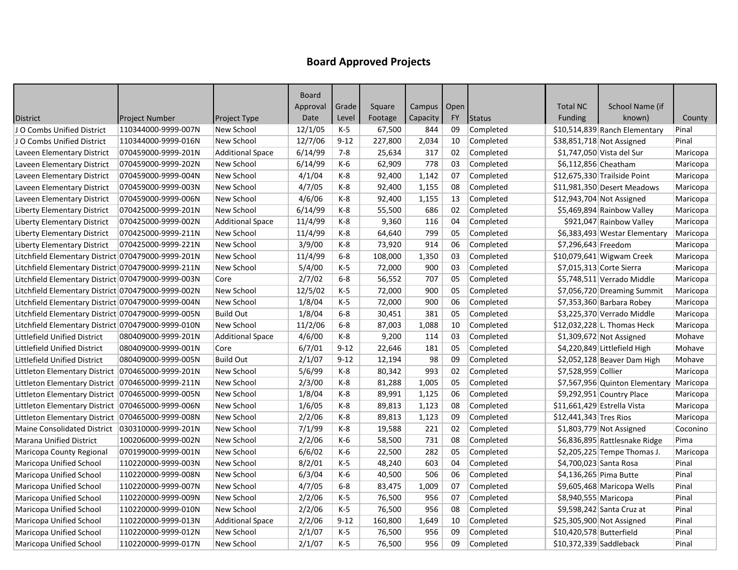|                                                     |                     |                         | Board    |          |         |               |           |           |                          |                                |          |
|-----------------------------------------------------|---------------------|-------------------------|----------|----------|---------|---------------|-----------|-----------|--------------------------|--------------------------------|----------|
|                                                     |                     |                         | Approval | Grade    | Square  | Campus   Open |           |           | <b>Total NC</b>          | School Name (if                |          |
| <b>District</b>                                     | Project Number      | Project Type            | Date     | Level    | Footage | Capacity      | <b>FY</b> | Status    | Funding                  | known)                         | County   |
| JO Combs Unified District                           | 110344000-9999-007N | New School              | 12/1/05  | $K-5$    | 67,500  | 844           | 09        | Completed |                          | \$10,514,839 Ranch Elementary  | Pinal    |
| JO Combs Unified District                           | 110344000-9999-016N | New School              | 12/7/06  | $9 - 12$ | 227,800 | 2,034         | 10        | Completed |                          | \$38,851,718 Not Assigned      | Pinal    |
| Laveen Elementary District                          | 070459000-9999-201N | <b>Additional Space</b> | 6/14/99  | $7 - 8$  | 25,634  | 317           | 02        | Completed |                          | \$1,747,050 Vista del Sur      | Maricopa |
| Laveen Elementary District                          | 070459000-9999-202N | New School              | 6/14/99  | K-6      | 62,909  | 778           | 03        | Completed | \$6,112,856 Cheatham     |                                | Maricopa |
| Laveen Elementary District                          | 070459000-9999-004N | New School              | 4/1/04   | K-8      | 92,400  | 1,142         | 07        | Completed |                          | \$12,675,330 Trailside Point   | Maricopa |
| Laveen Elementary District                          | 070459000-9999-003N | New School              | 4/7/05   | $K-8$    | 92,400  | 1,155         | 08        | Completed |                          | \$11,981,350 Desert Meadows    | Maricopa |
| Laveen Elementary District                          | 070459000-9999-006N | New School              | 4/6/06   | K-8      | 92,400  | 1,155         | 13        | Completed |                          | \$12,943,704 Not Assigned      | Maricopa |
| <b>Liberty Elementary District</b>                  | 070425000-9999-201N | New School              | 6/14/99  | K-8      | 55,500  | 686           | 02        | Completed |                          | \$5,469,894 Rainbow Valley     | Maricopa |
| Liberty Elementary District                         | 070425000-9999-002N | <b>Additional Space</b> | 11/4/99  | K-8      | 9,360   | 116           | 04        | Completed |                          | \$921,047 Rainbow Valley       | Maricopa |
| <b>Liberty Elementary District</b>                  | 070425000-9999-211N | New School              | 11/4/99  | $K-8$    | 64,640  | 799           | 05        | Completed |                          | \$6,383,493 Westar Elementary  | Maricopa |
| <b>Liberty Elementary District</b>                  | 070425000-9999-221N | New School              | 3/9/00   | K-8      | 73,920  | 914           | 06        | Completed | \$7,296,643 Freedom      |                                | Maricopa |
| Litchfield Elementary District 070479000-9999-201N  |                     | New School              | 11/4/99  | $6-8$    | 108,000 | 1,350         | 03        | Completed |                          | $$10,079,641$ Wigwam Creek     | Maricopa |
| Litchfield Elementary District 070479000-9999-211N  |                     | New School              | 5/4/00   | $K-5$    | 72,000  | 900           | 03        | Completed |                          | \$7,015,313 Corte Sierra       | Maricopa |
| Litchfield Elementary District 070479000-9999-003N  |                     | Core                    | 2/7/02   | $6 - 8$  | 56,552  | 707           | 05        | Completed |                          | \$5,748,511 Verrado Middle     | Maricopa |
| Litchfield Elementary District 070479000-9999-002N  |                     | New School              | 12/5/02  | $K-5$    | 72,000  | 900           | 05        | Completed |                          | \$7,056,720 Dreaming Summit    | Maricopa |
| Litchfield Elementary District 070479000-9999-004N  |                     | New School              | 1/8/04   | $K-5$    | 72,000  | 900           | 06        | Completed |                          | $$7,353,360$ Barbara Robey     | Maricopa |
| Litchfield Elementary District 070479000-9999-005N  |                     | <b>Build Out</b>        | 1/8/04   | $6-8$    | 30,451  | 381           | 05        | Completed |                          | \$3,225,370 Verrado Middle     | Maricopa |
| Litchfield Elementary District 070479000-9999-010N  |                     | New School              | 11/2/06  | $6-8$    | 87,003  | 1,088         | 10        | Completed |                          | \$12,032,228 L. Thomas Heck    | Maricopa |
| Littlefield Unified District                        | 080409000-9999-201N | <b>Additional Space</b> | 4/6/00   | $K-8$    | 9,200   | 114           | 03        | Completed |                          | \$1,309,672 Not Assigned       | Mohave   |
| Littlefield Unified District                        | 080409000-9999-001N | Core                    | 6/7/01   | $9 - 12$ | 22,646  | 181           | 05        | Completed |                          | \$4,220,849 Littlefield High   | Mohave   |
| Littlefield Unified District                        | 080409000-9999-005N | <b>Build Out</b>        | 2/1/07   | $9 - 12$ | 12,194  | 98            | 09        | Completed |                          | \$2,052,128 Beaver Dam High    | Mohave   |
| Littleton Elementary District   070465000-9999-201N |                     | New School              | 5/6/99   | K-8      | 80,342  | 993           | 02        | Completed | \$7,528,959 Collier      |                                | Maricopa |
| Littleton Elementary District   070465000-9999-211N |                     | New School              | 2/3/00   | $K-8$    | 81,288  | 1,005         | 05        | Completed |                          | \$7,567,956 Quinton Elementary | Maricopa |
| Littleton Elementary District   070465000-9999-005N |                     | New School              | 1/8/04   | K-8      | 89,991  | 1,125         | 06        | Completed |                          | $$9,292,951$ Country Place     | Maricopa |
| Littleton Elementary District   070465000-9999-006N |                     | New School              | 1/6/05   | $K-8$    | 89,813  | 1,123         | 08        | Completed |                          | \$11,661,429 Estrella Vista    | Maricopa |
| Littleton Elementary District   070465000-9999-008N |                     | New School              | 2/2/06   | K-8      | 89,813  | 1,123         | 09        | Completed | \$12,441,343 Tres Rios   |                                | Maricopa |
| Maine Consolidated District   030310000-9999-201N   |                     | New School              | 7/1/99   | $K-8$    | 19,588  | 221           | 02        | Completed |                          | \$1,803,779 Not Assigned       | Coconino |
| <b>Marana Unified District</b>                      | 100206000-9999-002N | New School              | 2/2/06   | K-6      | 58,500  | 731           | 08        | Completed |                          | \$6,836,895 Rattlesnake Ridge  | Pima     |
| Maricopa County Regional                            | 070199000-9999-001N | New School              | 6/6/02   | $K-6$    | 22,500  | 282           | 05        | Completed |                          | \$2,205,225 Tempe Thomas J.    | Maricopa |
| Maricopa Unified School                             | 110220000-9999-003N | New School              | 8/2/01   | K-5      | 48,240  | 603           | 04        | Completed | \$4,700,023 Santa Rosa   |                                | Pinal    |
| Maricopa Unified School                             | 110220000-9999-008N | New School              | 6/3/04   | K-6      | 40,500  | 506           | 06        | Completed |                          | \$4,136,265 Pima Butte         | Pinal    |
| Maricopa Unified School                             | 110220000-9999-007N | New School              | 4/7/05   | $6 - 8$  | 83,475  | 1,009         | 07        | Completed |                          | \$9,605,468 Maricopa Wells     | Pinal    |
| Maricopa Unified School                             | 110220000-9999-009N | New School              | 2/2/06   | $K-5$    | 76,500  | 956           | 07        | Completed | \$8,940,555 Maricopa     |                                | Pinal    |
| <b>Maricopa Unified School</b>                      | 110220000-9999-010N | New School              | 2/2/06   | K-5      | 76,500  | 956           | 08        | Completed |                          | \$9,598,242 Santa Cruz at      | Pinal    |
| Maricopa Unified School                             | 110220000-9999-013N | <b>Additional Space</b> | 2/2/06   | $9 - 12$ | 160,800 | 1,649         | 10        | Completed |                          | \$25,305,900 Not Assigned      | Pinal    |
| Maricopa Unified School                             | 110220000-9999-012N | New School              | 2/1/07   | K-5      | 76,500  | 956           | 09        | Completed | \$10,420,578 Butterfield |                                | Pinal    |
| Maricopa Unified School                             | 110220000-9999-017N | New School              | 2/1/07   | $K-5$    | 76,500  | 956           | 09        | Completed | \$10,372,339 Saddleback  |                                | Pinal    |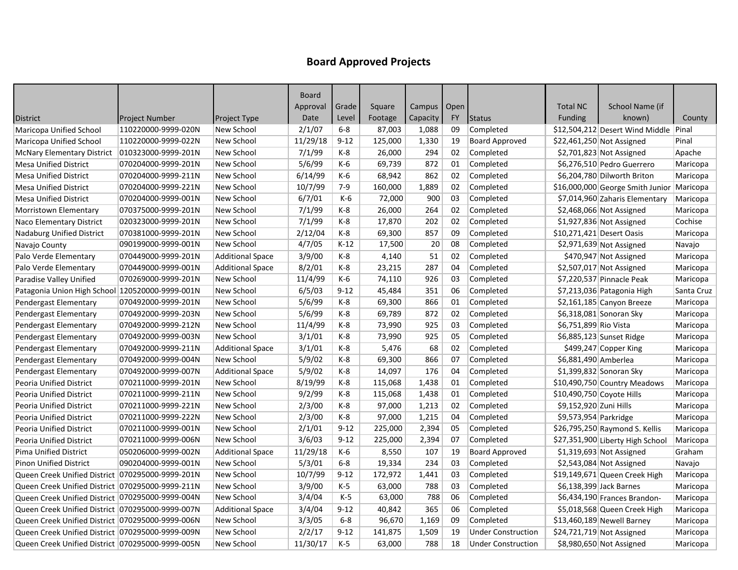|                                                    |                       |                         | <b>Board</b> |          |         |               |           |                           |                           |                                           |            |
|----------------------------------------------------|-----------------------|-------------------------|--------------|----------|---------|---------------|-----------|---------------------------|---------------------------|-------------------------------------------|------------|
|                                                    |                       |                         | Approval     | Grade    | Square  | Campus   Open |           |                           | <b>Total NC</b>           | School Name (if                           |            |
| <b>District</b>                                    | <b>Project Number</b> | Project Type            | Date         | Level    | Footage | Capacity      | <b>FY</b> | Status                    | <b>Funding</b>            | known)                                    | County     |
| Maricopa Unified School                            | 110220000-9999-020N   | New School              | 2/1/07       | $6-8$    | 87,003  | 1,088         | 09        | Completed                 |                           | \$12,504,212 Desert Wind Middle           | Pinal      |
| Maricopa Unified School                            | 110220000-9999-022N   | New School              | 11/29/18     | $9 - 12$ | 125,000 | 1,330         | 19        | <b>Board Approved</b>     |                           | \$22,461,250 Not Assigned                 | Pinal      |
| <b>McNary Elementary District</b>                  | 010323000-9999-201N   | New School              | 7/1/99       | K-8      | 26,000  | 294           | 02        | Completed                 |                           | $$2,701,823$ Not Assigned                 | Apache     |
| <b>Mesa Unified District</b>                       | 070204000-9999-201N   | New School              | 5/6/99       | $K-6$    | 69,739  | 872           | 01        | Completed                 |                           | \$6,276,510 Pedro Guerrero                | Maricopa   |
| <b>Mesa Unified District</b>                       | 070204000-9999-211N   | New School              | 6/14/99      | K-6      | 68,942  | 862           | 02        | Completed                 |                           | \$6,204,780 Dilworth Briton               | Maricopa   |
| <b>Mesa Unified District</b>                       | 070204000-9999-221N   | New School              | 10/7/99      | $7-9$    | 160,000 | 1,889         | 02        | Completed                 |                           | \$16,000,000 George Smith Junior Maricopa |            |
| <b>Mesa Unified District</b>                       | 070204000-9999-001N   | New School              | 6/7/01       | $K-6$    | 72,000  | 900           | 03        | Completed                 |                           | \$7,014,960 Zaharis Elementary            | Maricopa   |
| Morristown Elementary                              | 070375000-9999-201N   | New School              | 7/1/99       | $K-8$    | 26,000  | 264           | 02        | Completed                 |                           | \$2,468,066 Not Assigned                  | Maricopa   |
| Naco Elementary District                           | 020323000-9999-201N   | New School              | 7/1/99       | K-8      | 17,870  | 202           | 02        | Completed                 |                           | \$1,927,836 Not Assigned                  | Cochise    |
| <b>Nadaburg Unified District</b>                   | 070381000-9999-201N   | New School              | 2/12/04      | $K-8$    | 69,300  | 857           | 09        | Completed                 |                           | \$10,271,421 Desert Oasis                 | Maricopa   |
| Navajo County                                      | 090199000-9999-001N   | New School              | 4/7/05       | $K-12$   | 17,500  | 20            | 08        | Completed                 |                           | \$2,971,639 Not Assigned                  | Navajo     |
| Palo Verde Elementary                              | 070449000-9999-201N   | <b>Additional Space</b> | 3/9/00       | K-8      | 4,140   | 51            | 02        | Completed                 |                           | \$470,947 Not Assigned                    | Maricopa   |
| Palo Verde Elementary                              | 070449000-9999-001N   | <b>Additional Space</b> | 8/2/01       | K-8      | 23,215  | 287           | 04        | Completed                 |                           | \$2,507,017 Not Assigned                  | Maricopa   |
| Paradise Valley Unified                            | 070269000-9999-201N   | New School              | 11/4/99      | K-6      | 74,110  | 926           | 03        | Completed                 |                           | \$7,220,537 Pinnacle Peak                 | Maricopa   |
| Patagonia Union High School   120520000-9999-001N  |                       | New School              | 6/5/03       | $9 - 12$ | 45,484  | 351           | 06        | Completed                 |                           | \$7,213,036 Patagonia High                | Santa Cruz |
| Pendergast Elementary                              | 070492000-9999-201N   | New School              | 5/6/99       | K-8      | 69,300  | 866           | 01        | Completed                 |                           | $$2,161,185$ Canyon Breeze                | Maricopa   |
| Pendergast Elementary                              | 070492000-9999-203N   | New School              | 5/6/99       | K-8      | 69,789  | 872           | 02        | Completed                 |                           | \$6,318,081 Sonoran Sky                   | Maricopa   |
| Pendergast Elementary                              | 070492000-9999-212N   | New School              | 11/4/99      | $K-8$    | 73,990  | 925           | 03        | Completed                 | \$6,751,899 Rio Vista     |                                           | Maricopa   |
| Pendergast Elementary                              | 070492000-9999-003N   | New School              | 3/1/01       | K-8      | 73,990  | 925           | 05        | Completed                 |                           | \$6,885,123 Sunset Ridge                  | Maricopa   |
| Pendergast Elementary                              | 070492000-9999-211N   | <b>Additional Space</b> | 3/1/01       | K-8      | 5,476   | 68            | 02        | Completed                 |                           | \$499,247 Copper King                     | Maricopa   |
| Pendergast Elementary                              | 070492000-9999-004N   | New School              | 5/9/02       | K-8      | 69,300  | 866           | 07        | Completed                 | \$6,881,490 Amberlea      |                                           | Maricopa   |
| Pendergast Elementary                              | 070492000-9999-007N   | <b>Additional Space</b> | 5/9/02       | K-8      | 14,097  | 176           | 04        | Completed                 |                           | \$1,399,832 Sonoran Sky                   | Maricopa   |
| Peoria Unified District                            | 070211000-9999-201N   | New School              | 8/19/99      | K-8      | 115,068 | 1,438         | 01        | Completed                 |                           | \$10,490,750 Country Meadows              | Maricopa   |
| Peoria Unified District                            | 070211000-9999-211N   | New School              | 9/2/99       | K-8      | 115,068 | 1,438         | 01        | Completed                 | \$10,490,750 Coyote Hills |                                           | Maricopa   |
| Peoria Unified District                            | 070211000-9999-221N   | New School              | 2/3/00       | $K-8$    | 97,000  | 1,213         | 02        | Completed                 | \$9,152,920 Zuni Hills    |                                           | Maricopa   |
| Peoria Unified District                            | 070211000-9999-222N   | New School              | 2/3/00       | K-8      | 97,000  | 1,215         | 04        | Completed                 | \$9,573,954 Parkridge     |                                           | Maricopa   |
| Peoria Unified District                            | 070211000-9999-001N   | New School              | 2/1/01       | $9 - 12$ | 225,000 | 2,394         | 05        | Completed                 |                           | \$26,795,250 Raymond S. Kellis            | Maricopa   |
| <b>Peoria Unified District</b>                     | 070211000-9999-006N   | New School              | 3/6/03       | $9 - 12$ | 225,000 | 2,394         | 07        | Completed                 |                           | \$27,351,900 Liberty High School          | Maricopa   |
| <b>Pima Unified District</b>                       | 050206000-9999-002N   | <b>Additional Space</b> | 11/29/18     | K-6      | 8,550   | 107           | 19        | <b>Board Approved</b>     |                           | \$1,319,693 Not Assigned                  | Graham     |
| <b>Pinon Unified District</b>                      | 090204000-9999-001N   | New School              | 5/3/01       | $6-8$    | 19,334  | 234           | 03        | Completed                 |                           | \$2,543,084 Not Assigned                  | Navajo     |
| Queen Creek Unified District 070295000-9999-201N   |                       | New School              | 10/7/99      | $9 - 12$ | 172,972 | 1,441         | 03        | Completed                 |                           | \$19,149,671 Queen Creek High             | Maricopa   |
| Queen Creek Unified District   070295000-9999-211N |                       | New School              | 3/9/00       | K-5      | 63,000  | 788           | 03        | Completed                 |                           | \$6,138,399 Jack Barnes                   | Maricopa   |
| Queen Creek Unified District 070295000-9999-004N   |                       | New School              | 3/4/04       | $K-5$    | 63,000  | 788           | 06        | Completed                 |                           | \$6,434,190 Frances Brandon-              | Maricopa   |
| Queen Creek Unified District 070295000-9999-007N   |                       | <b>Additional Space</b> | 3/4/04       | $9 - 12$ | 40,842  | 365           | 06        | Completed                 |                           | \$5,018,568 Queen Creek High              | Maricopa   |
| Queen Creek Unified District 070295000-9999-006N   |                       | New School              | 3/3/05       | $6 - 8$  | 96,670  | 1,169         | 09        | Completed                 |                           | $$13,460,189$ Newell Barney               | Maricopa   |
| Queen Creek Unified District   070295000-9999-009N |                       | New School              | 2/2/17       | $9 - 12$ | 141,875 | 1,509         | 19        | <b>Under Construction</b> |                           | \$24,721,719 Not Assigned                 | Maricopa   |
| Queen Creek Unified District 070295000-9999-005N   |                       | New School              | 11/30/17     | $K-5$    | 63,000  | 788           | 18        | <b>Under Construction</b> |                           | \$8,980,650 Not Assigned                  | Maricopa   |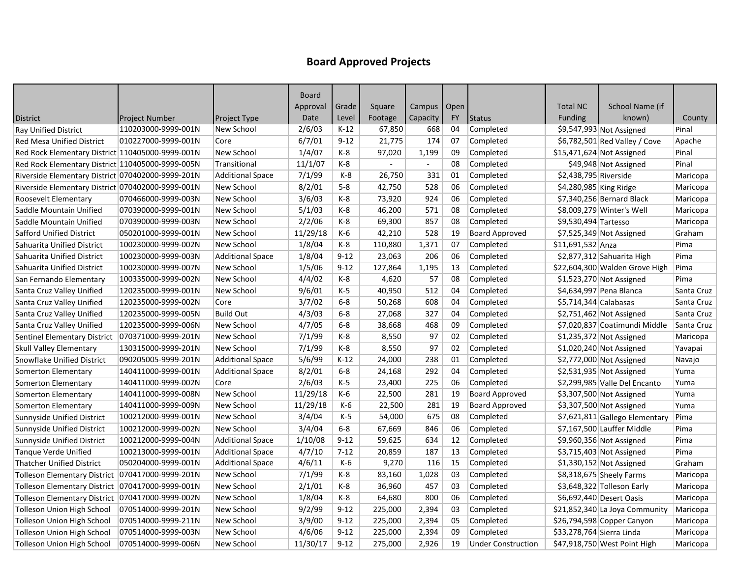|                                                    |                     |                         | <b>Board</b> |          |         |               |           |                           |                           |                                |            |
|----------------------------------------------------|---------------------|-------------------------|--------------|----------|---------|---------------|-----------|---------------------------|---------------------------|--------------------------------|------------|
|                                                    |                     |                         | Approval     | Grade    | Square  | Campus   Open |           |                           | <b>Total NC</b>           | School Name (if                |            |
| <b>District</b>                                    | Project Number      | Project Type            | Date         | Level    | Footage | Capacity      | <b>FY</b> | <b>Status</b>             | <b>Funding</b>            | known)                         | County     |
| Ray Unified District                               | 110203000-9999-001N | New School              | 2/6/03       | $K-12$   | 67,850  | 668           | 04        | Completed                 |                           | \$9,547,993 Not Assigned       | Pinal      |
| Red Mesa Unified District                          | 010227000-9999-001N | Core                    | 6/7/01       | $9 - 12$ | 21,775  | 174           | 07        | Completed                 |                           | $$6,782,501$ Red Valley / Cove | Apache     |
| Red Rock Elementary District 110405000-9999-001N   |                     | New School              | 1/4/07       | K-8      | 97,020  | 1,199         | 09        | Completed                 |                           | $$15,471,624$ Not Assigned     | Pinal      |
| Red Rock Elementary District 110405000-9999-005N   |                     | Transitional            | 11/1/07      | $K-8$    |         |               | 08        | Completed                 |                           | \$49,948 Not Assigned          | Pinal      |
| Riverside Elementary District 070402000-9999-201N  |                     | <b>Additional Space</b> | 7/1/99       | $K-8$    | 26,750  | 331           | 01        | Completed                 | \$2,438,795 Riverside     |                                | Maricopa   |
| Riverside Elementary District 070402000-9999-001N  |                     | New School              | 8/2/01       | $5-8$    | 42,750  | 528           | 06        | Completed                 | \$4,280,985 King Ridge    |                                | Maricopa   |
| Roosevelt Elementary                               | 070466000-9999-003N | New School              | 3/6/03       | K-8      | 73,920  | 924           | 06        | Completed                 |                           | \$7,340,256 Bernard Black      | Maricopa   |
| Saddle Mountain Unified                            | 070390000-9999-001N | New School              | 5/1/03       | $K-8$    | 46,200  | 571           | 08        | Completed                 |                           | \$8,009,279 Winter's Well      | Maricopa   |
| Saddle Mountain Unified                            | 070390000-9999-003N | New School              | 2/2/06       | K-8      | 69,300  | 857           | 08        | Completed                 | \$9,530,494 Tartesso      |                                | Maricopa   |
| <b>Safford Unified District</b>                    | 050201000-9999-001N | New School              | 11/29/18     | K-6      | 42,210  | 528           | 19        | <b>Board Approved</b>     |                           | \$7,525,349 Not Assigned       | Graham     |
| Sahuarita Unified District                         | 100230000-9999-002N | New School              | 1/8/04       | K-8      | 110,880 | 1,371         | 07        | Completed                 | \$11,691,532 Anza         |                                | Pima       |
| Sahuarita Unified District                         | 100230000-9999-003N | <b>Additional Space</b> | 1/8/04       | $9 - 12$ | 23,063  | 206           | 06        | Completed                 |                           | \$2,877,312 Sahuarita High     | Pima       |
| Sahuarita Unified District                         | 100230000-9999-007N | New School              | 1/5/06       | $9 - 12$ | 127,864 | 1,195         | 13        | Completed                 |                           | \$22,604,300 Walden Grove High | Pima       |
| San Fernando Elementary                            | 100335000-9999-002N | New School              | 4/4/02       | $K-8$    | 4,620   | 57            | 08        | Completed                 |                           | \$1,523,270 Not Assigned       | Pima       |
| Santa Cruz Valley Unified                          | 120235000-9999-001N | New School              | 9/6/01       | $K-5$    | 40,950  | 512           | 04        | Completed                 |                           | \$4,634,997 Pena Blanca        | Santa Cruz |
| Santa Cruz Valley Unified                          | 120235000-9999-002N | Core                    | 3/7/02       | $6-8$    | 50,268  | 608           | 04        | Completed                 | $$5,714,344$ Calabasas    |                                | Santa Cruz |
| Santa Cruz Valley Unified                          | 120235000-9999-005N | <b>Build Out</b>        | 4/3/03       | $6 - 8$  | 27,068  | 327           | 04        | Completed                 |                           | \$2,751,462 Not Assigned       | Santa Cruz |
| Santa Cruz Valley Unified                          | 120235000-9999-006N | New School              | 4/7/05       | $6-8$    | 38,668  | 468           | 09        | Completed                 |                           | \$7,020,837 Coatimundi Middle  | Santa Cruz |
| Sentinel Elementary District                       | 070371000-9999-201N | New School              | 7/1/99       | $K-8$    | 8,550   | 97            | 02        | Completed                 |                           | \$1,235,372 Not Assigned       | Maricopa   |
| Skull Valley Elementary                            | 130315000-9999-201N | New School              | 7/1/99       | $K-8$    | 8,550   | 97            | 02        | Completed                 |                           | $$1,020,240$ Not Assigned      | Yavapai    |
| Snowflake Unified District                         | 090205005-9999-201N | <b>Additional Space</b> | 5/6/99       | $K-12$   | 24,000  | 238           | 01        | Completed                 |                           | \$2,772,000 Not Assigned       | Navajo     |
| Somerton Elementary                                | 140411000-9999-001N | <b>Additional Space</b> | 8/2/01       | $6-8$    | 24,168  | 292           | 04        | Completed                 |                           | \$2,531,935 Not Assigned       | Yuma       |
| Somerton Elementary                                | 140411000-9999-002N | Core                    | 2/6/03       | $K-5$    | 23,400  | 225           | 06        | Completed                 |                           | \$2,299,985 Valle Del Encanto  | Yuma       |
| Somerton Elementary                                | 140411000-9999-008N | New School              | 11/29/18     | K-6      | 22,500  | 281           | 19        | <b>Board Approved</b>     |                           | \$3,307,500 Not Assigned       | Yuma       |
| Somerton Elementary                                | 140411000-9999-009N | New School              | 11/29/18     | $K-6$    | 22,500  | 281           | 19        | <b>Board Approved</b>     |                           | \$3,307,500 Not Assigned       | Yuma       |
| Sunnyside Unified District                         | 100212000-9999-001N | New School              | 3/4/04       | $K-5$    | 54,000  | 675           | 08        | Completed                 |                           | \$7,621,811 Gallego Elementary | Pima       |
| Sunnyside Unified District                         | 100212000-9999-002N | New School              | 3/4/04       | $6-8$    | 67,669  | 846           | 06        | Completed                 |                           | \$7,167,500 Lauffer Middle     | Pima       |
| Sunnyside Unified District                         | 100212000-9999-004N | <b>Additional Space</b> | 1/10/08      | $9 - 12$ | 59,625  | 634           | 12        | Completed                 |                           | \$9,960,356 Not Assigned       | Pima       |
| <b>Tanque Verde Unified</b>                        | 100213000-9999-001N | <b>Additional Space</b> | 4/7/10       | $7 - 12$ | 20,859  | 187           | 13        | Completed                 |                           | \$3,715,403 Not Assigned       | Pima       |
| <b>Thatcher Unified District</b>                   | 050204000-9999-001N | <b>Additional Space</b> | 4/6/11       | $K-6$    | 9,270   | 116           | 15        | Completed                 |                           | $$1,330,152$ Not Assigned      | Graham     |
| Tolleson Elementary District   070417000-9999-201N |                     | New School              | 7/1/99       | $K-8$    | 83,160  | 1,028         | 03        | Completed                 |                           | \$8,318,675 Sheely Farms       | Maricopa   |
| Tolleson Elementary District   070417000-9999-001N |                     | New School              | 2/1/01       | K-8      | 36,960  | 457           | 03        | Completed                 |                           | \$3,648,322 Tolleson Early     | Maricopa   |
| Tolleson Elementary District   070417000-9999-002N |                     | New School              | 1/8/04       | K-8      | 64,680  | 800           | 06        | Completed                 |                           | \$6,692,440 Desert Oasis       | Maricopa   |
| Tolleson Union High School                         | 070514000-9999-201N | New School              | 9/2/99       | $9 - 12$ | 225,000 | 2,394         | 03        | Completed                 |                           | \$21,852,340 La Joya Community | Maricopa   |
| Tolleson Union High School                         | 070514000-9999-211N | New School              | 3/9/00       | $9 - 12$ | 225,000 | 2,394         | 05        | Completed                 |                           | \$26,794,598 Copper Canyon     | Maricopa   |
| Tolleson Union High School                         | 070514000-9999-003N | New School              | 4/6/06       | $9 - 12$ | 225,000 | 2,394         | 09        | Completed                 | \$33,278,764 Sierra Linda |                                | Maricopa   |
| <b>Tolleson Union High School</b>                  | 070514000-9999-006N | New School              | 11/30/17     | $9 - 12$ | 275,000 | 2,926         | 19        | <b>Under Construction</b> |                           | \$47,918,750 West Point High   | Maricopa   |